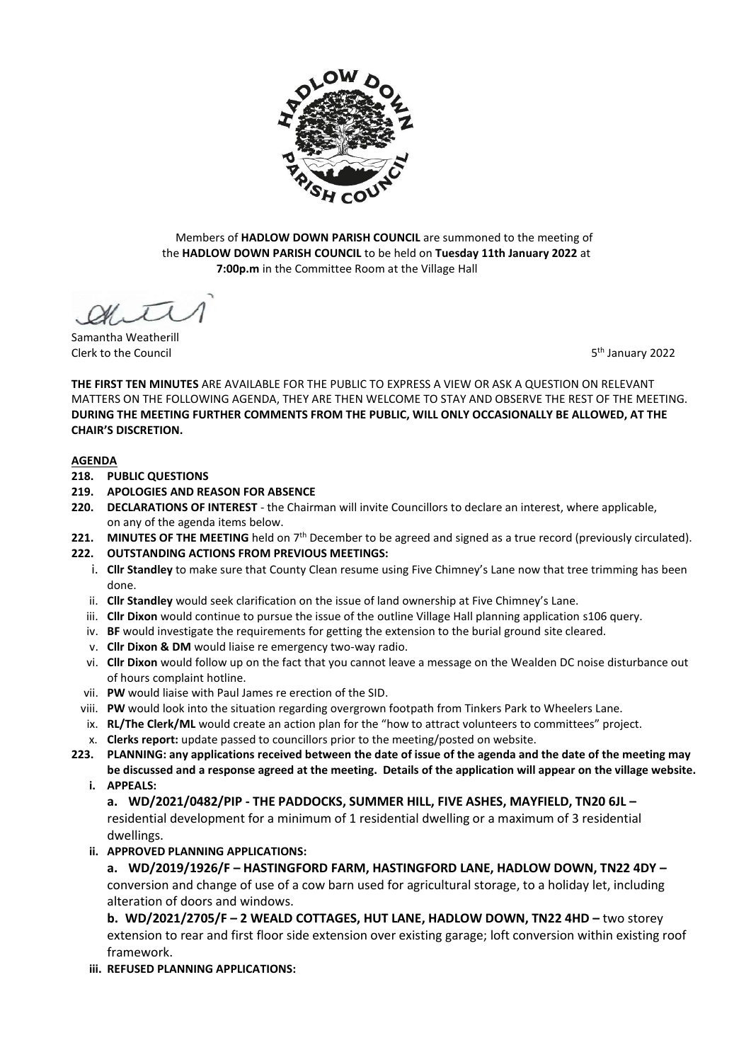

Members of **HADLOW DOWN PARISH COUNCIL** are summoned to the meeting of the **HADLOW DOWN PARISH COUNCIL** to be held on **Tuesday 11th January 2022** at  **7:00p.m** in the Committee Room at the Village Hall

Samantha Weatherill Clerk to the Council 5

5<sup>th</sup> January 2022

**THE FIRST TEN MINUTES** ARE AVAILABLE FOR THE PUBLIC TO EXPRESS A VIEW OR ASK A QUESTION ON RELEVANT MATTERS ON THE FOLLOWING AGENDA, THEY ARE THEN WELCOME TO STAY AND OBSERVE THE REST OF THE MEETING. **DURING THE MEETING FURTHER COMMENTS FROM THE PUBLIC, WILL ONLY OCCASIONALLY BE ALLOWED, AT THE CHAIR'S DISCRETION.**

### **AGENDA**

- **218. PUBLIC QUESTIONS**
- **219. APOLOGIES AND REASON FOR ABSENCE**
- **220. DECLARATIONS OF INTEREST** the Chairman will invite Councillors to declare an interest, where applicable, on any of the agenda items below.
- 221. MINUTES OF THE MEETING held on 7<sup>th</sup> December to be agreed and signed as a true record (previously circulated).
- **222. OUTSTANDING ACTIONS FROM PREVIOUS MEETINGS:**
	- i. **Cllr Standley** to make sure that County Clean resume using Five Chimney's Lane now that tree trimming has been done.
	- ii. **Cllr Standley** would seek clarification on the issue of land ownership at Five Chimney's Lane.
	- iii. **Cllr Dixon** would continue to pursue the issue of the outline Village Hall planning application s106 query.
	- iv. **BF** would investigate the requirements for getting the extension to the burial ground site cleared.
	- v. **Cllr Dixon & DM** would liaise re emergency two-way radio.
	- vi. **Cllr Dixon** would follow up on the fact that you cannot leave a message on the Wealden DC noise disturbance out of hours complaint hotline.
	- vii. **PW** would liaise with Paul James re erection of the SID.
	- viii. **PW** would look into the situation regarding overgrown footpath from Tinkers Park to Wheelers Lane.
	- ix. **RL/The Clerk/ML** would create an action plan for the "how to attract volunteers to committees" project.
	- x. **Clerks report:** update passed to councillors prior to the meeting/posted on website.
- **223. PLANNING: any applications received between the date of issue of the agenda and the date of the meeting may be discussed and a response agreed at the meeting. Details of the application will appear on the village website.** 
	- **i. APPEALS:**

**a. WD/2021/0482/PIP - THE PADDOCKS, SUMMER HILL, FIVE ASHES, MAYFIELD, TN20 6JL –** residential development for a minimum of 1 residential dwelling or a maximum of 3 residential dwellings.

**ii. APPROVED PLANNING APPLICATIONS:**

**a. WD/2019/1926/F – HASTINGFORD FARM, HASTINGFORD LANE, HADLOW DOWN, TN22 4DY –** conversion and change of use of a cow barn used for agricultural storage, to a holiday let, including alteration of doors and windows.

**b. WD/2021/2705/F – 2 WEALD COTTAGES, HUT LANE, HADLOW DOWN, TN22 4HD –** two storey extension to rear and first floor side extension over existing garage; loft conversion within existing roof framework.

**iii. REFUSED PLANNING APPLICATIONS:**